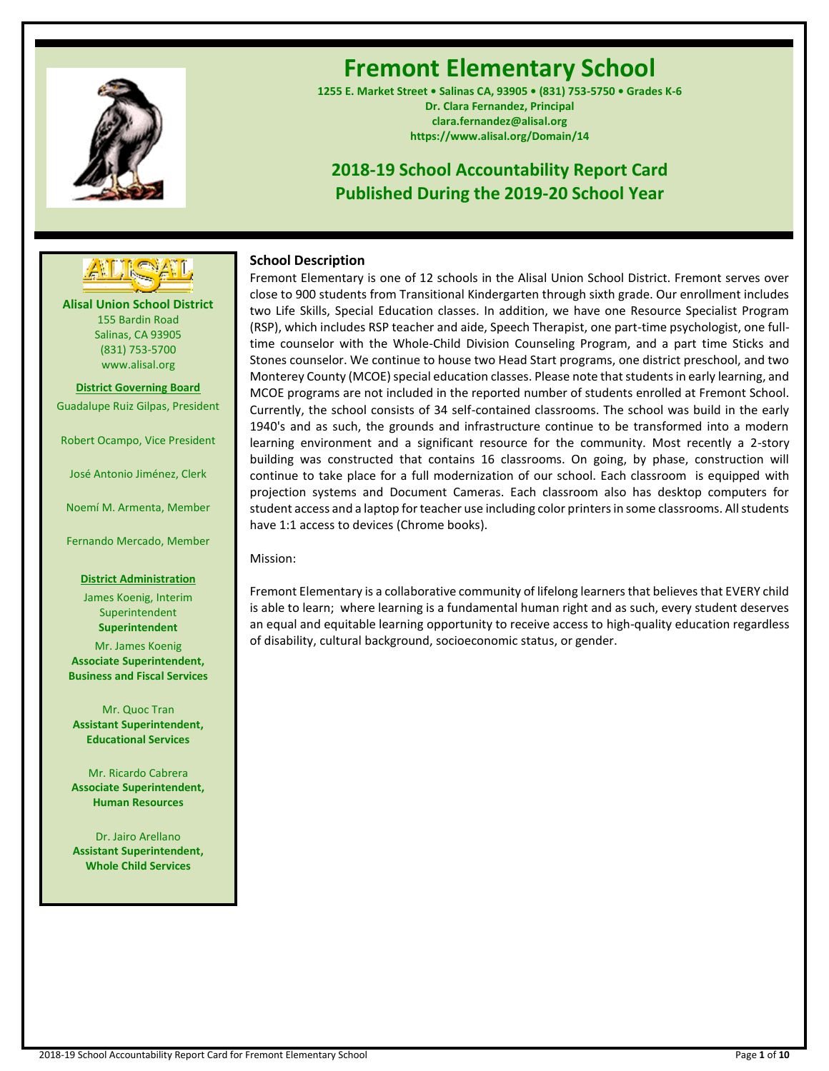

# **Fremont Elementary School**

**1255 E. Market Street • Salinas CA, 93905 • (831) 753-5750 • Grades K-6 Dr. Clara Fernandez, Principal clara.fernandez@alisal.org https://www.alisal.org/Domain/14**

## **2018-19 School Accountability Report Card Published During the 2019-20 School Year**



**Alisal Union School District** 155 Bardin Road Salinas, CA 93905 (831) 753-5700 www.alisal.org

**District Governing Board**

Guadalupe Ruiz Gilpas, President

Robert Ocampo, Vice President

José Antonio Jiménez, Clerk

Noemí M. Armenta, Member

Fernando Mercado, Member

#### **District Administration**

James Koenig, Interim **Superintendent Superintendent** Mr. James Koenig **Associate Superintendent, Business and Fiscal Services**

Mr. Quoc Tran **Assistant Superintendent, Educational Services**

Mr. Ricardo Cabrera **Associate Superintendent, Human Resources**

Dr. Jairo Arellano **Assistant Superintendent, Whole Child Services**

## **School Description**

Fremont Elementary is one of 12 schools in the Alisal Union School District. Fremont serves over close to 900 students from Transitional Kindergarten through sixth grade. Our enrollment includes two Life Skills, Special Education classes. In addition, we have one Resource Specialist Program (RSP), which includes RSP teacher and aide, Speech Therapist, one part-time psychologist, one fulltime counselor with the Whole-Child Division Counseling Program, and a part time Sticks and Stones counselor. We continue to house two Head Start programs, one district preschool, and two Monterey County (MCOE) special education classes. Please note that students in early learning, and MCOE programs are not included in the reported number of students enrolled at Fremont School. Currently, the school consists of 34 self-contained classrooms. The school was build in the early 1940's and as such, the grounds and infrastructure continue to be transformed into a modern learning environment and a significant resource for the community. Most recently a 2-story building was constructed that contains 16 classrooms. On going, by phase, construction will continue to take place for a full modernization of our school. Each classroom is equipped with projection systems and Document Cameras. Each classroom also has desktop computers for student access and a laptop for teacher use including color printers in some classrooms. All students have 1:1 access to devices (Chrome books).

Mission:

Fremont Elementary is a collaborative community of lifelong learners that believes that EVERY child is able to learn; where learning is a fundamental human right and as such, every student deserves an equal and equitable learning opportunity to receive access to high-quality education regardless of disability, cultural background, socioeconomic status, or gender.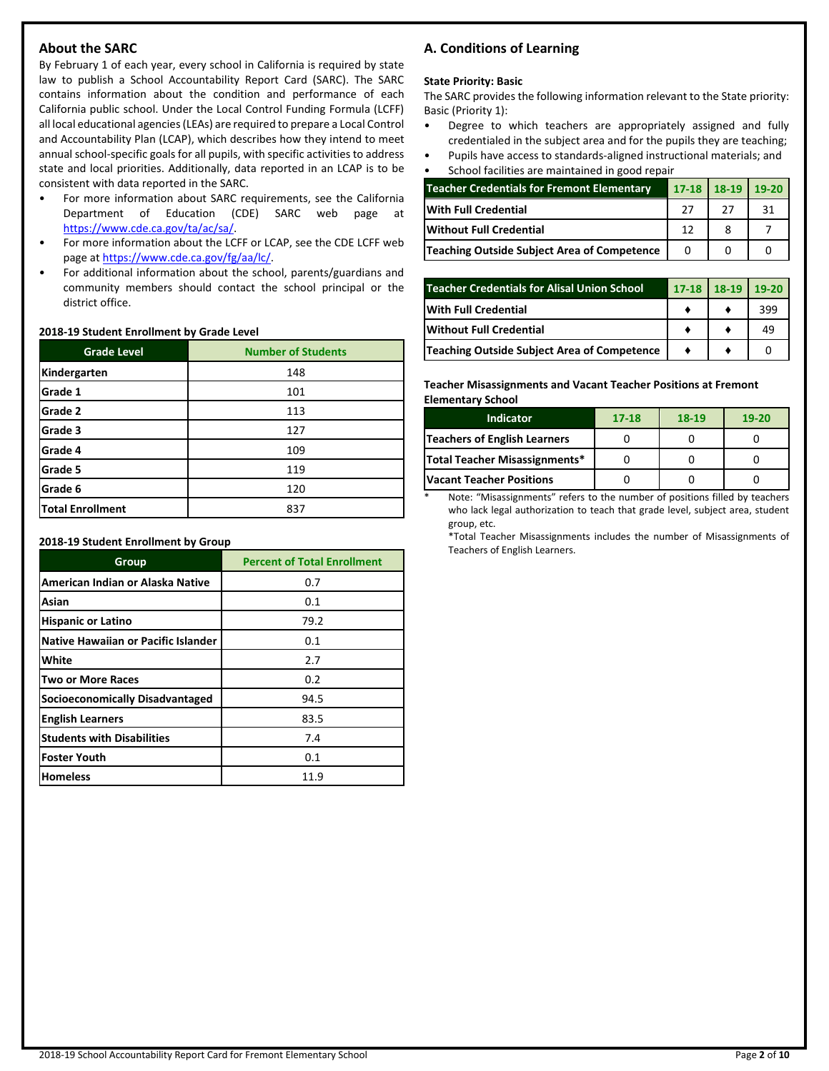## **About the SARC**

By February 1 of each year, every school in California is required by state law to publish a School Accountability Report Card (SARC). The SARC contains information about the condition and performance of each California public school. Under the Local Control Funding Formula (LCFF) all local educational agencies (LEAs) are required to prepare a Local Control and Accountability Plan (LCAP), which describes how they intend to meet annual school-specific goals for all pupils, with specific activities to address state and local priorities. Additionally, data reported in an LCAP is to be consistent with data reported in the SARC.

- For more information about SARC requirements, see the California Department of Education (CDE) SARC web page at [https://www.cde.ca.gov/ta/ac/sa/.](https://www.cde.ca.gov/ta/ac/sa/)
- For more information about the LCFF or LCAP, see the CDE LCFF web page at [https://www.cde.ca.gov/fg/aa/lc/.](https://www.cde.ca.gov/fg/aa/lc/)
- For additional information about the school, parents/guardians and community members should contact the school principal or the district office.

#### **2018-19 Student Enrollment by Grade Level**

| <b>Grade Level</b>      | <b>Number of Students</b> |
|-------------------------|---------------------------|
| Kindergarten            | 148                       |
| Grade 1                 | 101                       |
| Grade 2                 | 113                       |
| Grade 3                 | 127                       |
| Grade 4                 | 109                       |
| Grade 5                 | 119                       |
| Grade 6                 | 120                       |
| <b>Total Enrollment</b> | 837                       |

**2018-19 Student Enrollment by Group**

| Group                               | <b>Percent of Total Enrollment</b> |
|-------------------------------------|------------------------------------|
| American Indian or Alaska Native    | 0.7                                |
| Asian                               | 0.1                                |
| <b>Hispanic or Latino</b>           | 79.2                               |
| Native Hawaiian or Pacific Islander | 0.1                                |
| White                               | 2.7                                |
| <b>Two or More Races</b>            | 0.2                                |
| Socioeconomically Disadvantaged     | 94.5                               |
| <b>English Learners</b>             | 83.5                               |
| <b>Students with Disabilities</b>   | 7.4                                |
| <b>Foster Youth</b>                 | 0.1                                |
| <b>Homeless</b>                     | 11.9                               |

## **A. Conditions of Learning**

#### **State Priority: Basic**

The SARC provides the following information relevant to the State priority: Basic (Priority 1):

- Degree to which teachers are appropriately assigned and fully credentialed in the subject area and for the pupils they are teaching;
- Pupils have access to standards-aligned instructional materials; and • School facilities are maintained in good repair

| Scribbi Tacilities are maintained in good repair  |           |         |       |  |  |
|---------------------------------------------------|-----------|---------|-------|--|--|
| <b>Teacher Credentials for Fremont Elementary</b> | $17 - 18$ | $18-19$ | 19-20 |  |  |
| <b>With Full Credential</b>                       |           | 27      | 31    |  |  |
| Without Full Credential                           | 12        |         |       |  |  |
| Teaching Outside Subject Area of Competence       |           |         |       |  |  |

| <b>Teacher Credentials for Alisal Union School</b> | $17-18$ 18-19 | 19-20 |
|----------------------------------------------------|---------------|-------|
| <b>IWith Full Credential</b>                       |               | 399   |
| <b>Without Full Credential</b>                     |               | 49    |
| Teaching Outside Subject Area of Competence        |               |       |

**Teacher Misassignments and Vacant Teacher Positions at Fremont Elementary School**

| <b>Indicator</b>                    | 17-18 | 18-19 | $19 - 20$ |
|-------------------------------------|-------|-------|-----------|
| <b>Teachers of English Learners</b> |       |       |           |
| Total Teacher Misassignments*       |       |       |           |
| <b>Vacant Teacher Positions</b>     |       |       |           |

Note: "Misassignments" refers to the number of positions filled by teachers who lack legal authorization to teach that grade level, subject area, student group, etc.

\*Total Teacher Misassignments includes the number of Misassignments of Teachers of English Learners.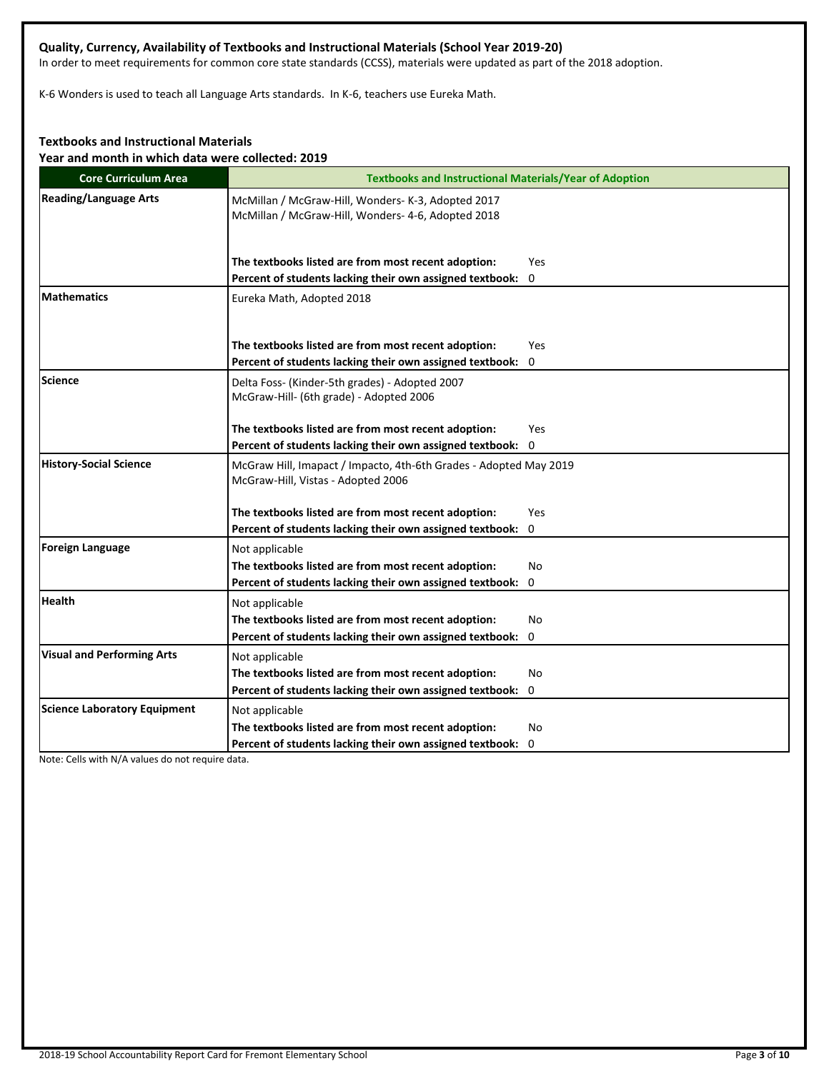## **Quality, Currency, Availability of Textbooks and Instructional Materials (School Year 2019-20)**

In order to meet requirements for common core state standards (CCSS), materials were updated as part of the 2018 adoption.

K-6 Wonders is used to teach all Language Arts standards. In K-6, teachers use Eureka Math.

## **Textbooks and Instructional Materials**

**Year and month in which data were collected: 2019**

| <b>Core Curriculum Area</b>         | <b>Textbooks and Instructional Materials/Year of Adoption</b>                                            |  |  |  |
|-------------------------------------|----------------------------------------------------------------------------------------------------------|--|--|--|
| <b>Reading/Language Arts</b>        | McMillan / McGraw-Hill, Wonders- K-3, Adopted 2017<br>McMillan / McGraw-Hill, Wonders- 4-6, Adopted 2018 |  |  |  |
|                                     | The textbooks listed are from most recent adoption:<br>Yes                                               |  |  |  |
|                                     | Percent of students lacking their own assigned textbook:<br>0                                            |  |  |  |
| <b>Mathematics</b>                  | Eureka Math, Adopted 2018                                                                                |  |  |  |
|                                     | The textbooks listed are from most recent adoption:<br><b>Yes</b>                                        |  |  |  |
|                                     | Percent of students lacking their own assigned textbook:<br>0                                            |  |  |  |
| Science                             | Delta Foss- (Kinder-5th grades) - Adopted 2007<br>McGraw-Hill- (6th grade) - Adopted 2006                |  |  |  |
|                                     | The textbooks listed are from most recent adoption:<br><b>Yes</b>                                        |  |  |  |
|                                     | Percent of students lacking their own assigned textbook: 0                                               |  |  |  |
| <b>History-Social Science</b>       | McGraw Hill, Imapact / Impacto, 4th-6th Grades - Adopted May 2019<br>McGraw-Hill, Vistas - Adopted 2006  |  |  |  |
|                                     | The textbooks listed are from most recent adoption:<br>Yes                                               |  |  |  |
|                                     | Percent of students lacking their own assigned textbook: 0                                               |  |  |  |
| Foreign Language                    | Not applicable                                                                                           |  |  |  |
|                                     | The textbooks listed are from most recent adoption:<br>No                                                |  |  |  |
|                                     | Percent of students lacking their own assigned textbook:<br>0                                            |  |  |  |
| <b>Health</b>                       | Not applicable                                                                                           |  |  |  |
|                                     | The textbooks listed are from most recent adoption:<br>No                                                |  |  |  |
|                                     | Percent of students lacking their own assigned textbook:<br>0                                            |  |  |  |
| <b>Visual and Performing Arts</b>   | Not applicable                                                                                           |  |  |  |
|                                     | The textbooks listed are from most recent adoption:<br>No                                                |  |  |  |
|                                     | Percent of students lacking their own assigned textbook:<br>0                                            |  |  |  |
| <b>Science Laboratory Equipment</b> | Not applicable                                                                                           |  |  |  |
|                                     | The textbooks listed are from most recent adoption:<br>No                                                |  |  |  |
|                                     | Percent of students lacking their own assigned textbook: 0                                               |  |  |  |

Note: Cells with N/A values do not require data.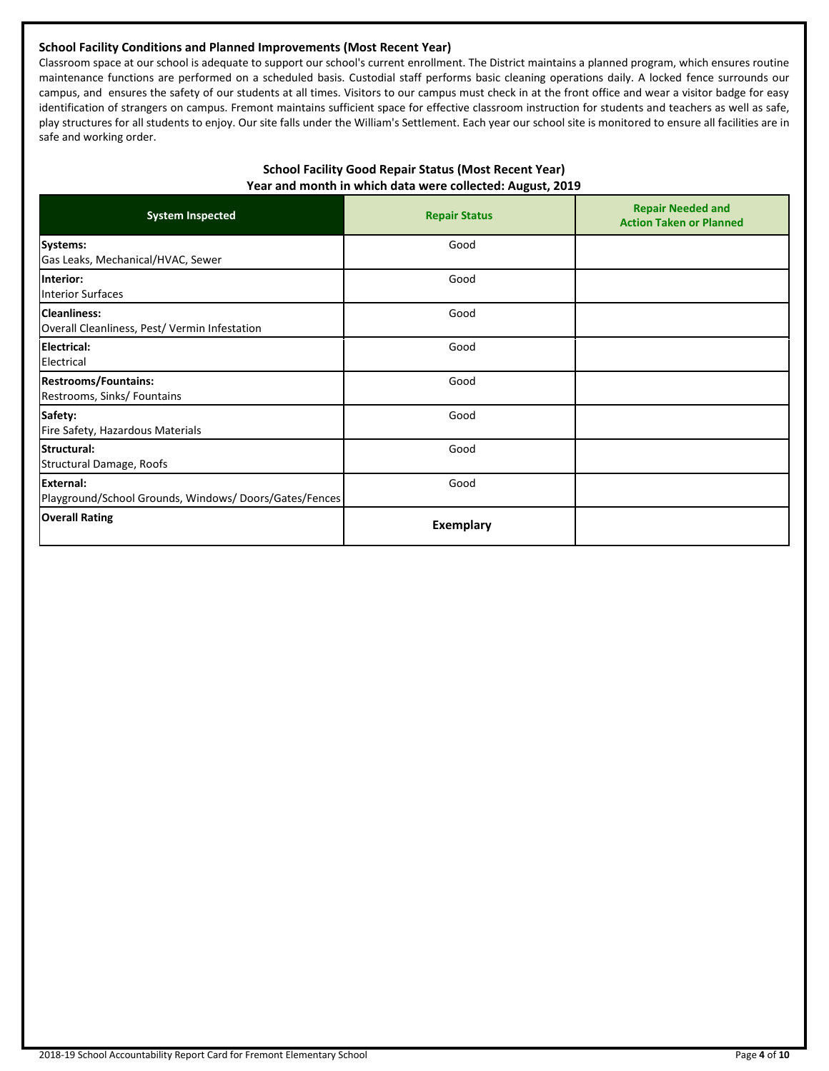## **School Facility Conditions and Planned Improvements (Most Recent Year)**

Classroom space at our school is adequate to support our school's current enrollment. The District maintains a planned program, which ensures routine maintenance functions are performed on a scheduled basis. Custodial staff performs basic cleaning operations daily. A locked fence surrounds our campus, and ensures the safety of our students at all times. Visitors to our campus must check in at the front office and wear a visitor badge for easy identification of strangers on campus. Fremont maintains sufficient space for effective classroom instruction for students and teachers as well as safe, play structures for all students to enjoy. Our site falls under the William's Settlement. Each year our school site is monitored to ensure all facilities are in safe and working order.

## **School Facility Good Repair Status (Most Recent Year) Year and month in which data were collected: August, 2019**

| <b>System Inspected</b>                                              | <b>Repair Status</b> | <b>Repair Needed and</b><br><b>Action Taken or Planned</b> |
|----------------------------------------------------------------------|----------------------|------------------------------------------------------------|
| Systems:<br>Gas Leaks, Mechanical/HVAC, Sewer                        | Good                 |                                                            |
| Interior:<br><b>Interior Surfaces</b>                                | Good                 |                                                            |
| <b>Cleanliness:</b><br>Overall Cleanliness, Pest/ Vermin Infestation | Good                 |                                                            |
| Electrical:<br>Electrical                                            | Good                 |                                                            |
| <b>Restrooms/Fountains:</b><br>Restrooms, Sinks/ Fountains           | Good                 |                                                            |
| Safety:<br>Fire Safety, Hazardous Materials                          | Good                 |                                                            |
| Structural:<br>Structural Damage, Roofs                              | Good                 |                                                            |
| External:<br>Playground/School Grounds, Windows/Doors/Gates/Fences   | Good                 |                                                            |
| <b>Overall Rating</b>                                                | <b>Exemplary</b>     |                                                            |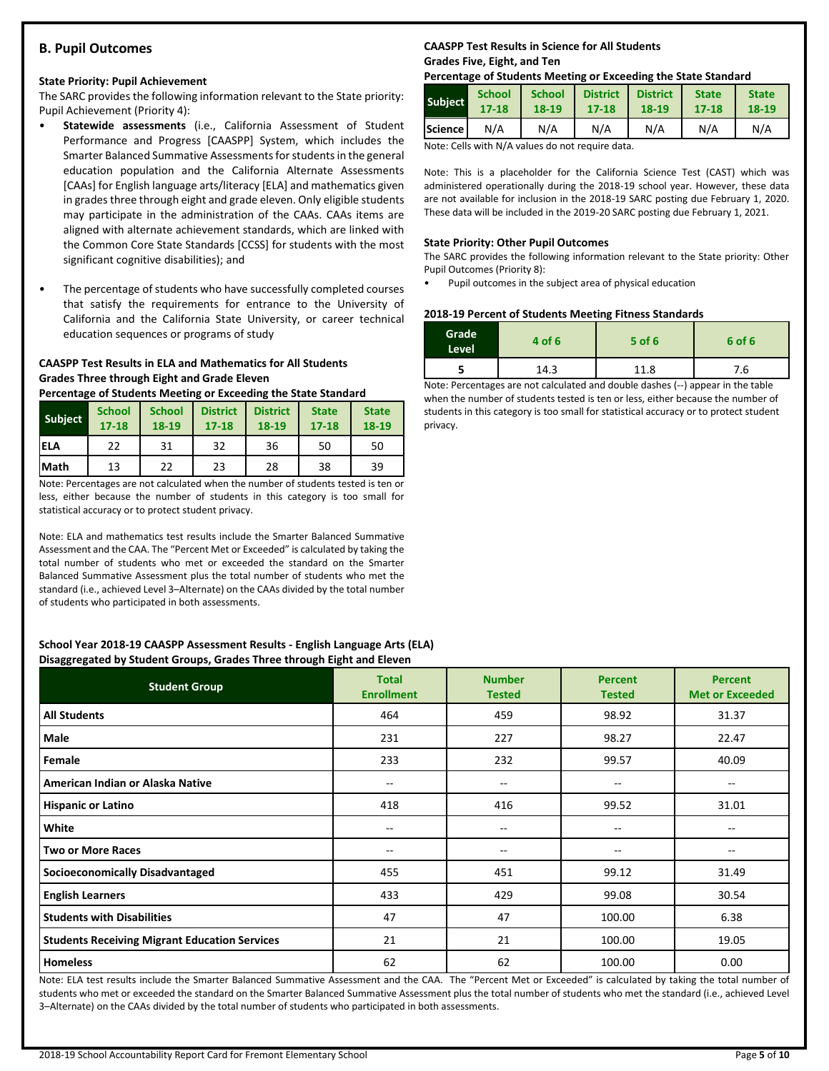## **B. Pupil Outcomes**

#### **State Priority: Pupil Achievement**

The SARC provides the following information relevant to the State priority: Pupil Achievement (Priority 4):

- **Statewide assessments** (i.e., California Assessment of Student Performance and Progress [CAASPP] System, which includes the Smarter Balanced Summative Assessments for students in the general education population and the California Alternate Assessments [CAAs] for English language arts/literacy [ELA] and mathematics given in grades three through eight and grade eleven. Only eligible students may participate in the administration of the CAAs. CAAs items are aligned with alternate achievement standards, which are linked with the Common Core State Standards [CCSS] for students with the most significant cognitive disabilities); and
- The percentage of students who have successfully completed courses that satisfy the requirements for entrance to the University of California and the California State University, or career technical education sequences or programs of study

## **CAASPP Test Results in ELA and Mathematics for All Students Grades Three through Eight and Grade Eleven**

**Percentage of Students Meeting or Exceeding the State Standard**

| <b>Subject</b> | <b>School</b><br>$17 - 18$ | <b>School</b><br>18-19 | <b>District</b><br>$17 - 18$ | <b>District</b><br>18-19 | <b>State</b><br>$17 - 18$ | <b>State</b><br>18-19 |
|----------------|----------------------------|------------------------|------------------------------|--------------------------|---------------------------|-----------------------|
| <b>IELA</b>    | 22                         | 31                     | 32                           | 36                       | 50                        | 50                    |
| <b>Math</b>    | 13                         | 22                     | 23                           | 28                       | 38                        | 39                    |

Note: Percentages are not calculated when the number of students tested is ten or less, either because the number of students in this category is too small for statistical accuracy or to protect student privacy.

Note: ELA and mathematics test results include the Smarter Balanced Summative Assessment and the CAA. The "Percent Met or Exceeded" is calculated by taking the total number of students who met or exceeded the standard on the Smarter Balanced Summative Assessment plus the total number of students who met the standard (i.e., achieved Level 3–Alternate) on the CAAs divided by the total number of students who participated in both assessments.

#### **School Year 2018-19 CAASPP Assessment Results - English Language Arts (ELA) Disaggregated by Student Groups, Grades Three through Eight and Eleven**

| . .<br><b>Student Group</b>                          | <b>Total</b><br><b>Enrollment</b> | <b>Number</b><br><b>Tested</b> | <b>Percent</b><br><b>Tested</b> | <b>Percent</b><br><b>Met or Exceeded</b> |
|------------------------------------------------------|-----------------------------------|--------------------------------|---------------------------------|------------------------------------------|
| <b>All Students</b>                                  | 464                               | 459                            | 98.92                           | 31.37                                    |
| Male                                                 | 231                               | 227                            | 98.27                           | 22.47                                    |
| Female                                               | 233                               | 232                            | 99.57                           | 40.09                                    |
| American Indian or Alaska Native                     | --                                | $- -$                          | --                              | --                                       |
| <b>Hispanic or Latino</b>                            | 418                               | 416                            | 99.52                           | 31.01                                    |
| White                                                | --                                | $- -$                          | --                              |                                          |
| <b>Two or More Races</b>                             | --                                | --                             | --                              | $- -$                                    |
| <b>Socioeconomically Disadvantaged</b>               | 455                               | 451                            | 99.12                           | 31.49                                    |
| <b>English Learners</b>                              | 433                               | 429                            | 99.08                           | 30.54                                    |
| <b>Students with Disabilities</b>                    | 47                                | 47                             | 100.00                          | 6.38                                     |
| <b>Students Receiving Migrant Education Services</b> | 21                                | 21                             | 100.00                          | 19.05                                    |
| <b>Homeless</b>                                      | 62                                | 62                             | 100.00                          | 0.00                                     |

Note: ELA test results include the Smarter Balanced Summative Assessment and the CAA. The "Percent Met or Exceeded" is calculated by taking the total number of students who met or exceeded the standard on the Smarter Balanced Summative Assessment plus the total number of students who met the standard (i.e., achieved Level 3–Alternate) on the CAAs divided by the total number of students who participated in both assessments.

## **CAASPP Test Results in Science for All Students Grades Five, Eight, and Ten**

#### **Percentage of Students Meeting or Exceeding the State Standard**

| <b>Subject</b>   | <b>School</b> | <b>School</b> | <b>District</b> | <b>District</b> | <b>State</b> | <b>State</b> |
|------------------|---------------|---------------|-----------------|-----------------|--------------|--------------|
|                  | $17 - 18$     | $18 - 19$     | $17 - 18$       | 18-19           | $17 - 18$    | 18-19        |
| <b>Science</b> I | N/A           | N/A           | N/A             | N/A             | N/A          | N/A          |

Note: Cells with N/A values do not require data.

Note: This is a placeholder for the California Science Test (CAST) which was administered operationally during the 2018-19 school year. However, these data are not available for inclusion in the 2018-19 SARC posting due February 1, 2020. These data will be included in the 2019-20 SARC posting due February 1, 2021.

#### **State Priority: Other Pupil Outcomes**

The SARC provides the following information relevant to the State priority: Other Pupil Outcomes (Priority 8):

• Pupil outcomes in the subject area of physical education

#### **2018-19 Percent of Students Meeting Fitness Standards**

| Grade<br>Level | 4 of 6 | $5$ of 6 | 6 of 6 |
|----------------|--------|----------|--------|
|                | 14.3   | 11.8     | 7.6    |

Note: Percentages are not calculated and double dashes (--) appear in the table when the number of students tested is ten or less, either because the number of students in this category is too small for statistical accuracy or to protect student privacy.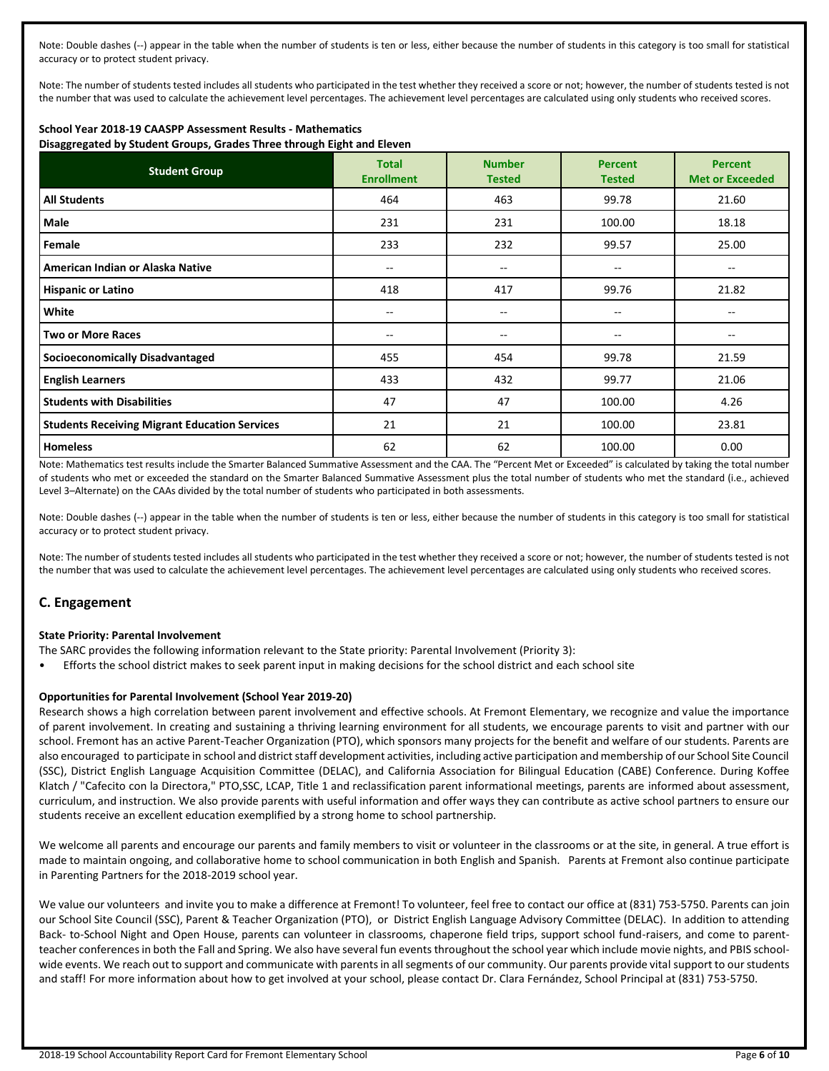Note: Double dashes (--) appear in the table when the number of students is ten or less, either because the number of students in this category is too small for statistical accuracy or to protect student privacy.

Note: The number of students tested includes all students who participated in the test whether they received a score or not; however, the number of students tested is not the number that was used to calculate the achievement level percentages. The achievement level percentages are calculated using only students who received scores.

## **School Year 2018-19 CAASPP Assessment Results - Mathematics**

**Disaggregated by Student Groups, Grades Three through Eight and Eleven**

| <b>Student Group</b>                                 | <b>Total</b><br><b>Enrollment</b> | <b>Number</b><br><b>Tested</b> | <b>Percent</b><br><b>Tested</b> | <b>Percent</b><br><b>Met or Exceeded</b> |
|------------------------------------------------------|-----------------------------------|--------------------------------|---------------------------------|------------------------------------------|
| <b>All Students</b>                                  | 464                               | 463                            | 99.78                           | 21.60                                    |
| Male                                                 | 231                               | 231                            | 100.00                          | 18.18                                    |
| Female                                               | 233                               | 232                            | 99.57                           | 25.00                                    |
| American Indian or Alaska Native                     | $\hspace{0.05cm}$                 | $-$                            | --                              | --                                       |
| <b>Hispanic or Latino</b>                            | 418                               | 417                            | 99.76                           | 21.82                                    |
| White                                                | $- -$                             | --                             | --                              |                                          |
| <b>Two or More Races</b>                             | $- -$                             | --                             | $- -$                           | $- -$                                    |
| <b>Socioeconomically Disadvantaged</b>               | 455                               | 454                            | 99.78                           | 21.59                                    |
| <b>English Learners</b>                              | 433                               | 432                            | 99.77                           | 21.06                                    |
| <b>Students with Disabilities</b>                    | 47                                | 47                             | 100.00                          | 4.26                                     |
| <b>Students Receiving Migrant Education Services</b> | 21                                | 21                             | 100.00                          | 23.81                                    |
| <b>Homeless</b>                                      | 62                                | 62                             | 100.00                          | 0.00                                     |

Note: Mathematics test results include the Smarter Balanced Summative Assessment and the CAA. The "Percent Met or Exceeded" is calculated by taking the total number of students who met or exceeded the standard on the Smarter Balanced Summative Assessment plus the total number of students who met the standard (i.e., achieved Level 3–Alternate) on the CAAs divided by the total number of students who participated in both assessments.

Note: Double dashes (--) appear in the table when the number of students is ten or less, either because the number of students in this category is too small for statistical accuracy or to protect student privacy.

Note: The number of students tested includes all students who participated in the test whether they received a score or not; however, the number of students tested is not the number that was used to calculate the achievement level percentages. The achievement level percentages are calculated using only students who received scores.

## **C. Engagement**

#### **State Priority: Parental Involvement**

- The SARC provides the following information relevant to the State priority: Parental Involvement (Priority 3):
- Efforts the school district makes to seek parent input in making decisions for the school district and each school site

#### **Opportunities for Parental Involvement (School Year 2019-20)**

Research shows a high correlation between parent involvement and effective schools. At Fremont Elementary, we recognize and value the importance of parent involvement. In creating and sustaining a thriving learning environment for all students, we encourage parents to visit and partner with our school. Fremont has an active Parent-Teacher Organization (PTO), which sponsors many projects for the benefit and welfare of our students. Parents are also encouraged to participate in school and district staff development activities, including active participation and membership of our School Site Council (SSC), District English Language Acquisition Committee (DELAC), and California Association for Bilingual Education (CABE) Conference. During Koffee Klatch / "Cafecito con la Directora," PTO,SSC, LCAP, Title 1 and reclassification parent informational meetings, parents are informed about assessment, curriculum, and instruction. We also provide parents with useful information and offer ways they can contribute as active school partners to ensure our students receive an excellent education exemplified by a strong home to school partnership.

We welcome all parents and encourage our parents and family members to visit or volunteer in the classrooms or at the site, in general. A true effort is made to maintain ongoing, and collaborative home to school communication in both English and Spanish. Parents at Fremont also continue participate in Parenting Partners for the 2018-2019 school year.

We value our volunteers and invite you to make a difference at Fremont! To volunteer, feel free to contact our office at (831) 753-5750. Parents can join our School Site Council (SSC), Parent & Teacher Organization (PTO), or District English Language Advisory Committee (DELAC). In addition to attending Back- to-School Night and Open House, parents can volunteer in classrooms, chaperone field trips, support school fund-raisers, and come to parentteacher conferences in both the Fall and Spring. We also have several fun events throughout the school year which include movie nights, and PBIS schoolwide events. We reach out to support and communicate with parents in all segments of our community. Our parents provide vital support to our students and staff! For more information about how to get involved at your school, please contact Dr. Clara Fernández, School Principal at (831) 753-5750.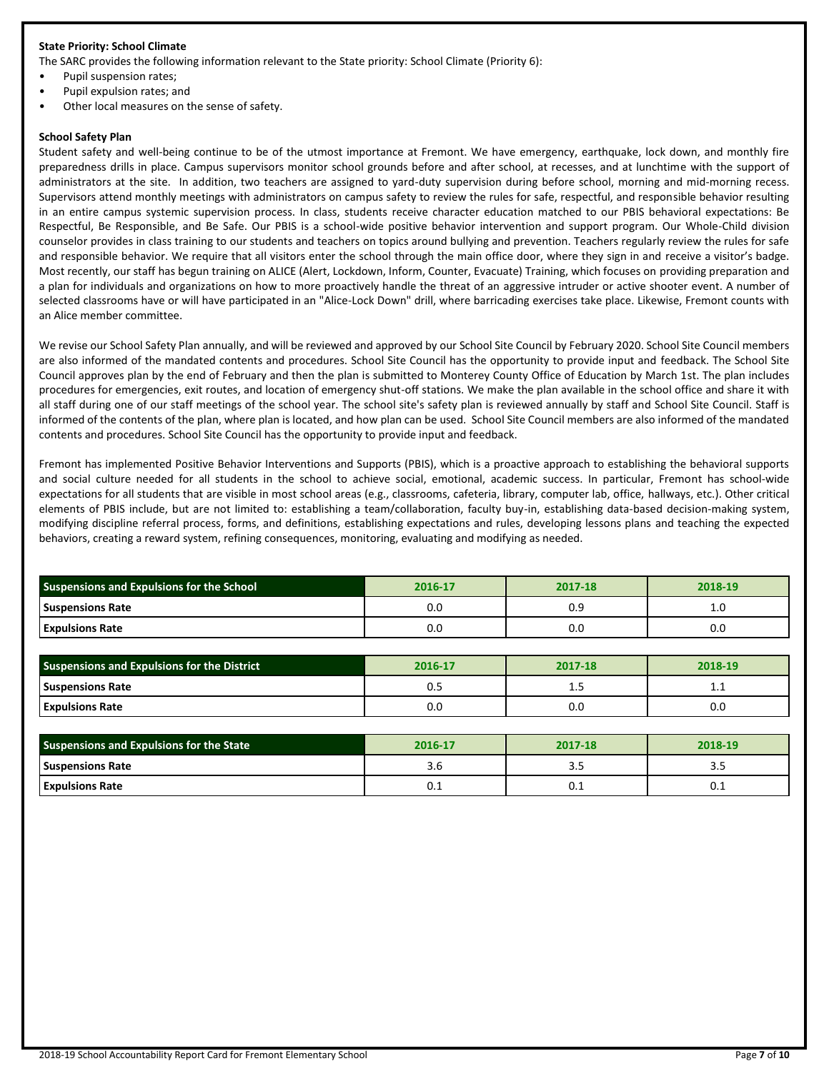#### **State Priority: School Climate**

The SARC provides the following information relevant to the State priority: School Climate (Priority 6):

- Pupil suspension rates;
- Pupil expulsion rates; and
- Other local measures on the sense of safety.

#### **School Safety Plan**

Student safety and well-being continue to be of the utmost importance at Fremont. We have emergency, earthquake, lock down, and monthly fire preparedness drills in place. Campus supervisors monitor school grounds before and after school, at recesses, and at lunchtime with the support of administrators at the site. In addition, two teachers are assigned to yard-duty supervision during before school, morning and mid-morning recess. Supervisors attend monthly meetings with administrators on campus safety to review the rules for safe, respectful, and responsible behavior resulting in an entire campus systemic supervision process. In class, students receive character education matched to our PBIS behavioral expectations: Be Respectful, Be Responsible, and Be Safe. Our PBIS is a school-wide positive behavior intervention and support program. Our Whole-Child division counselor provides in class training to our students and teachers on topics around bullying and prevention. Teachers regularly review the rules for safe and responsible behavior. We require that all visitors enter the school through the main office door, where they sign in and receive a visitor's badge. Most recently, our staff has begun training on ALICE (Alert, Lockdown, Inform, Counter, Evacuate) Training, which focuses on providing preparation and a plan for individuals and organizations on how to more proactively handle the threat of an aggressive intruder or active shooter event. A number of selected classrooms have or will have participated in an "Alice-Lock Down" drill, where barricading exercises take place. Likewise, Fremont counts with an Alice member committee.

We revise our School Safety Plan annually, and will be reviewed and approved by our School Site Council by February 2020. School Site Council members are also informed of the mandated contents and procedures. School Site Council has the opportunity to provide input and feedback. The School Site Council approves plan by the end of February and then the plan is submitted to Monterey County Office of Education by March 1st. The plan includes procedures for emergencies, exit routes, and location of emergency shut-off stations. We make the plan available in the school office and share it with all staff during one of our staff meetings of the school year. The school site's safety plan is reviewed annually by staff and School Site Council. Staff is informed of the contents of the plan, where plan is located, and how plan can be used. School Site Council members are also informed of the mandated contents and procedures. School Site Council has the opportunity to provide input and feedback.

Fremont has implemented Positive Behavior Interventions and Supports (PBIS), which is a proactive approach to establishing the behavioral supports and social culture needed for all students in the school to achieve social, emotional, academic success. In particular, Fremont has school-wide expectations for all students that are visible in most school areas (e.g., classrooms, cafeteria, library, computer lab, office, hallways, etc.). Other critical elements of PBIS include, but are not limited to: establishing a team/collaboration, faculty buy-in, establishing data-based decision-making system, modifying discipline referral process, forms, and definitions, establishing expectations and rules, developing lessons plans and teaching the expected behaviors, creating a reward system, refining consequences, monitoring, evaluating and modifying as needed.

| Suspensions and Expulsions for the School | 2016-17 | 2017-18 | 2018-19 |  |
|-------------------------------------------|---------|---------|---------|--|
| <b>Suspensions Rate</b>                   | 0.0     | 0.9     | 1.0     |  |
| <b>Expulsions Rate</b>                    | 0.0     | 0.0     | 0.0     |  |

| <b>Suspensions and Expulsions for the District</b> | 2016-17 | 2017-18 | 2018-19  |
|----------------------------------------------------|---------|---------|----------|
| <b>Suspensions Rate</b>                            | U.J     | --      | <b>.</b> |
| <b>Expulsions Rate</b>                             | 0.0     | o.c     | 0.0      |

| Suspensions and Expulsions for the State | 2016-17 | 2017-18 | 2018-19 |
|------------------------------------------|---------|---------|---------|
| <b>Suspensions Rate</b>                  |         | ر. د    |         |
| <b>Expulsions Rate</b>                   | U.L     | U.L     | ∪.⊥     |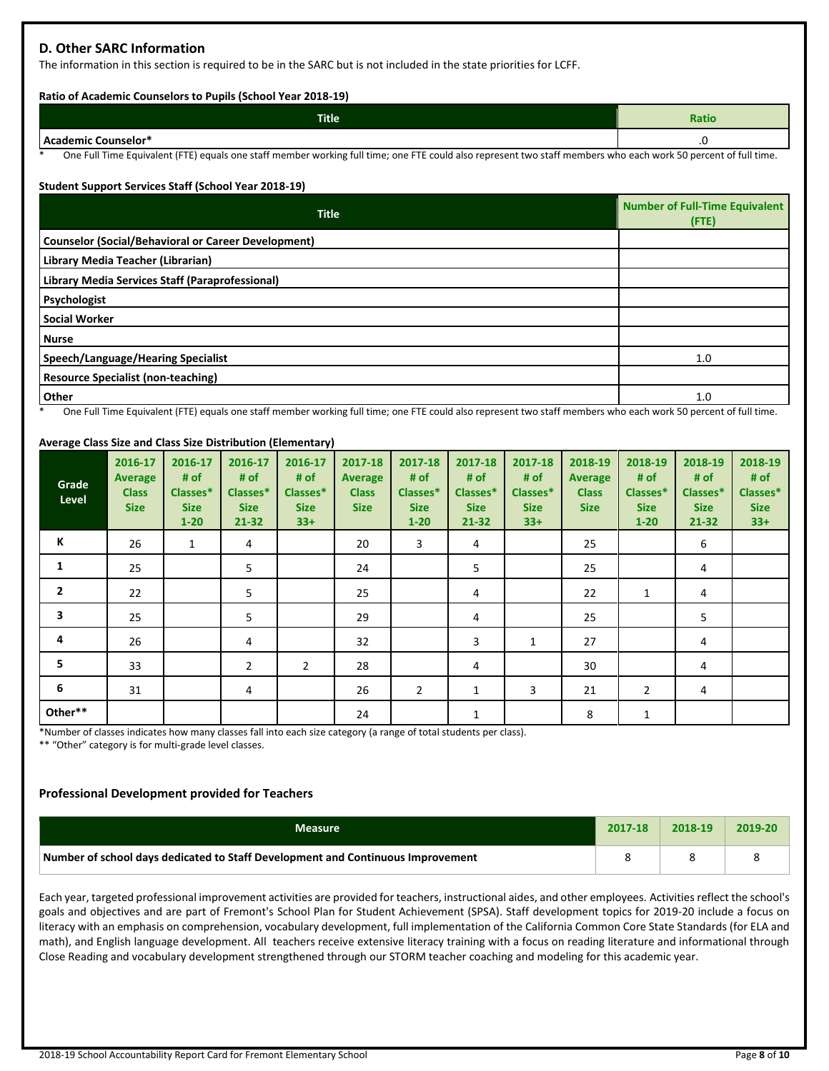## **D. Other SARC Information**

The information in this section is required to be in the SARC but is not included in the state priorities for LCFF.

#### **Ratio of Academic Counselors to Pupils (School Year 2018-19)**

| <b>Title</b>        | <b>Ratio</b> |
|---------------------|--------------|
| Academic Counselor* | ں.           |

One Full Time Equivalent (FTE) equals one staff member working full time; one FTE could also represent two staff members who each work 50 percent of full time.

#### **Student Support Services Staff (School Year 2018-19)**

| <b>Title</b>                                                                                                                                                  | <b>Number of Full-Time Equivalent</b><br>$($ FTE $)$ |
|---------------------------------------------------------------------------------------------------------------------------------------------------------------|------------------------------------------------------|
| <b>Counselor (Social/Behavioral or Career Development)</b>                                                                                                    |                                                      |
| Library Media Teacher (Librarian)                                                                                                                             |                                                      |
| Library Media Services Staff (Paraprofessional)                                                                                                               |                                                      |
| Psychologist                                                                                                                                                  |                                                      |
| <b>Social Worker</b>                                                                                                                                          |                                                      |
| <b>Nurse</b>                                                                                                                                                  |                                                      |
| Speech/Language/Hearing Specialist                                                                                                                            | 1.0                                                  |
| <b>Resource Specialist (non-teaching)</b>                                                                                                                     |                                                      |
| Other                                                                                                                                                         | 1.0                                                  |
| One Full Time Equipplent (FTE) equals and staff momber weaking full time, and FTE squid also conceent two staff mombers who cash work FO norseal of full time |                                                      |

One Full Time Equivalent (FTE) equals one staff member working full time; one FTE could also represent two staff members who each work 50 percent of full time.

#### **Average Class Size and Class Size Distribution (Elementary)**

| Grade<br>Level | 2016-17<br><b>Average</b><br><b>Class</b><br><b>Size</b> | 2016-17<br># of<br>Classes*<br><b>Size</b><br>$1 - 20$ | 2016-17<br># of<br>Classes*<br><b>Size</b><br>$21 - 32$ | 2016-17<br># of<br>Classes*<br><b>Size</b><br>$33+$ | 2017-18<br>Average<br><b>Class</b><br><b>Size</b> | 2017-18<br># of<br>Classes*<br><b>Size</b><br>$1 - 20$ | 2017-18<br># of<br>Classes*<br><b>Size</b><br>21-32 | 2017-18<br># of<br>Classes*<br><b>Size</b><br>$33+$ | 2018-19<br><b>Average</b><br><b>Class</b><br><b>Size</b> | 2018-19<br># of<br>Classes*<br><b>Size</b><br>$1 - 20$ | 2018-19<br># of<br>Classes*<br><b>Size</b><br>$21 - 32$ | 2018-19<br># of<br>Classes*<br><b>Size</b><br>$33+$ |
|----------------|----------------------------------------------------------|--------------------------------------------------------|---------------------------------------------------------|-----------------------------------------------------|---------------------------------------------------|--------------------------------------------------------|-----------------------------------------------------|-----------------------------------------------------|----------------------------------------------------------|--------------------------------------------------------|---------------------------------------------------------|-----------------------------------------------------|
| К              | 26                                                       | $\mathbf{1}$                                           | 4                                                       |                                                     | 20                                                | 3                                                      | 4                                                   |                                                     | 25                                                       |                                                        | 6                                                       |                                                     |
| 1              | 25                                                       |                                                        | 5                                                       |                                                     | 24                                                |                                                        | 5                                                   |                                                     | 25                                                       |                                                        | 4                                                       |                                                     |
| $\mathbf{2}$   | 22                                                       |                                                        | 5                                                       |                                                     | 25                                                |                                                        | 4                                                   |                                                     | 22                                                       | 1                                                      | 4                                                       |                                                     |
| 3              | 25                                                       |                                                        | 5                                                       |                                                     | 29                                                |                                                        | 4                                                   |                                                     | 25                                                       |                                                        | 5                                                       |                                                     |
| 4              | 26                                                       |                                                        | 4                                                       |                                                     | 32                                                |                                                        | 3                                                   | 1                                                   | 27                                                       |                                                        | 4                                                       |                                                     |
| 5              | 33                                                       |                                                        | $\overline{2}$                                          | 2                                                   | 28                                                |                                                        | 4                                                   |                                                     | 30                                                       |                                                        | 4                                                       |                                                     |
| 6              | 31                                                       |                                                        | 4                                                       |                                                     | 26                                                | $\overline{2}$                                         | 1                                                   | 3                                                   | 21                                                       | $\overline{2}$                                         | 4                                                       |                                                     |
| Other**        |                                                          |                                                        |                                                         |                                                     | 24                                                |                                                        | $\mathbf{1}$                                        |                                                     | 8                                                        | $\mathbf{1}$                                           |                                                         |                                                     |

\*Number of classes indicates how many classes fall into each size category (a range of total students per class).

\*\* "Other" category is for multi-grade level classes.

#### **Professional Development provided for Teachers**

| <b>Measure</b>                                                                  | 2017-18 | 2018-19 | 2019-20 |
|---------------------------------------------------------------------------------|---------|---------|---------|
| Number of school days dedicated to Staff Development and Continuous Improvement |         |         |         |

Each year, targeted professional improvement activities are provided for teachers, instructional aides, and other employees. Activities reflect the school's goals and objectives and are part of Fremont's School Plan for Student Achievement (SPSA). Staff development topics for 2019-20 include a focus on literacy with an emphasis on comprehension, vocabulary development, full implementation of the California Common Core State Standards (for ELA and math), and English language development. All teachers receive extensive literacy training with a focus on reading literature and informational through Close Reading and vocabulary development strengthened through our STORM teacher coaching and modeling for this academic year.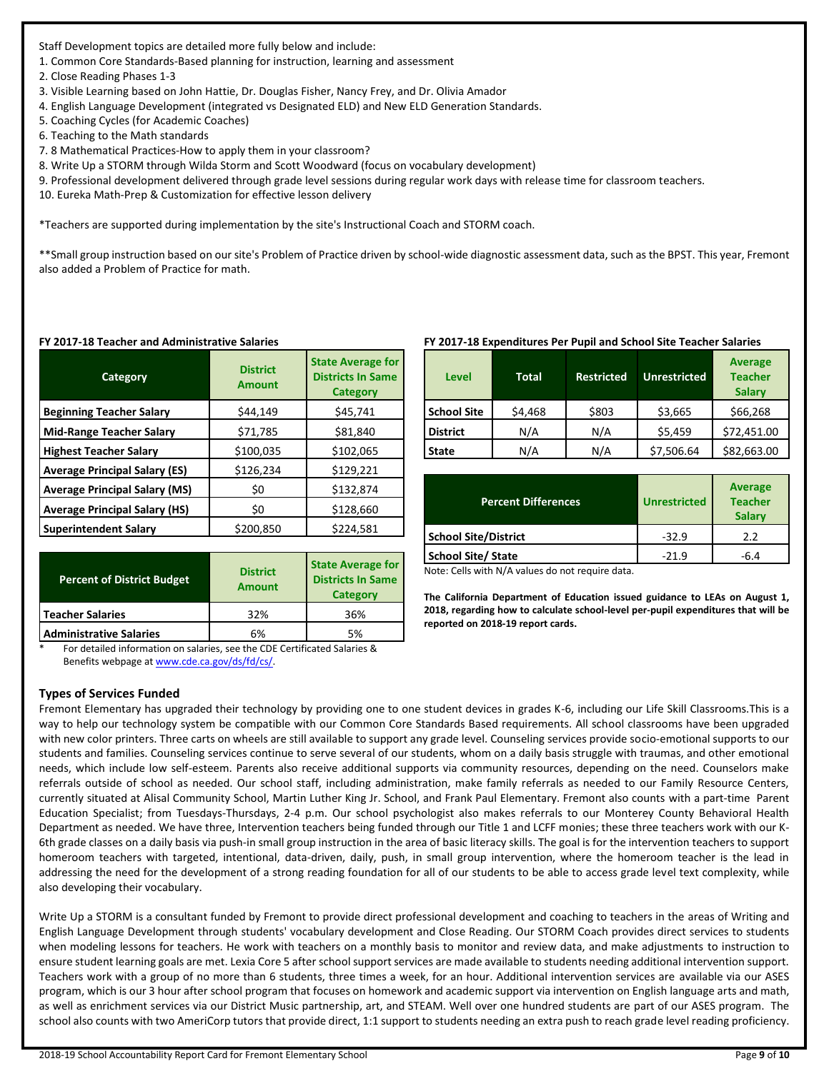Staff Development topics are detailed more fully below and include:

1. Common Core Standards-Based planning for instruction, learning and assessment

2. Close Reading Phases 1-3

- 3. Visible Learning based on John Hattie, Dr. Douglas Fisher, Nancy Frey, and Dr. Olivia Amador
- 4. English Language Development (integrated vs Designated ELD) and New ELD Generation Standards.
- 5. Coaching Cycles (for Academic Coaches)
- 6. Teaching to the Math standards
- 7. 8 Mathematical Practices-How to apply them in your classroom?

8. Write Up a STORM through Wilda Storm and Scott Woodward (focus on vocabulary development)

9. Professional development delivered through grade level sessions during regular work days with release time for classroom teachers.

10. Eureka Math-Prep & Customization for effective lesson delivery

\*Teachers are supported during implementation by the site's Instructional Coach and STORM coach.

\*\*Small group instruction based on our site's Problem of Practice driven by school-wide diagnostic assessment data, such as the BPST. This year, Fremont also added a Problem of Practice for math.

| Category                             | <b>District</b><br><b>Amount</b> | <b>State Average for</b><br><b>Districts In Same</b><br><b>Category</b> |
|--------------------------------------|----------------------------------|-------------------------------------------------------------------------|
| <b>Beginning Teacher Salary</b>      | \$44,149                         | \$45,741                                                                |
| <b>Mid-Range Teacher Salary</b>      | \$71,785                         | \$81,840                                                                |
| <b>Highest Teacher Salary</b>        | \$100,035                        | \$102,065                                                               |
| <b>Average Principal Salary (ES)</b> | \$126,234                        | \$129,221                                                               |
| <b>Average Principal Salary (MS)</b> | \$0                              | \$132,874                                                               |
| <b>Average Principal Salary (HS)</b> | \$0                              | \$128,660                                                               |
| <b>Superintendent Salary</b>         | \$200,850                        | \$224,581                                                               |

#### **FY 2017-18 Teacher and Administrative Salaries**

| <b>Percent of District Budget</b> | <b>District</b><br><b>Amount</b> | <b>State Average for</b><br><b>Districts In Same</b><br><b>Category</b> |
|-----------------------------------|----------------------------------|-------------------------------------------------------------------------|
| <b>Teacher Salaries</b>           | 32%                              | 36%                                                                     |
| <b>Administrative Salaries</b>    | 6%                               | 5%                                                                      |

For detailed information on salaries, see the CDE Certificated Salaries & Benefits webpage a[t www.cde.ca.gov/ds/fd/cs/.](http://www.cde.ca.gov/ds/fd/cs/)

## **Types of Services Funded**

## **FY 2017-18 Expenditures Per Pupil and School Site Teacher Salaries**

| Level              | <b>Total</b> | <b>Restricted</b> | <b>Unrestricted</b> | <b>Average</b><br><b>Teacher</b><br><b>Salary</b> |
|--------------------|--------------|-------------------|---------------------|---------------------------------------------------|
| <b>School Site</b> | \$4,468      | \$803             | \$3,665             | \$66,268                                          |
| <b>District</b>    | N/A          | N/A               | \$5,459             | \$72,451.00                                       |
| <b>State</b>       | N/A          | N/A               | \$7,506.64          | \$82,663.00                                       |

| <b>Percent Differences</b>  | <b>Unrestricted</b> | Average<br><b>Teacher</b><br><b>Salary</b> |
|-----------------------------|---------------------|--------------------------------------------|
| <b>School Site/District</b> | $-32.9$             | 2.2                                        |
| <b>School Site/ State</b>   | $-21.9$             | -6.4                                       |

Note: Cells with N/A values do not require data.

**The California Department of Education issued guidance to LEAs on August 1, 2018, regarding how to calculate school-level per-pupil expenditures that will be reported on 2018-19 report cards.**

Fremont Elementary has upgraded their technology by providing one to one student devices in grades K-6, including our Life Skill Classrooms.This is a way to help our technology system be compatible with our Common Core Standards Based requirements. All school classrooms have been upgraded with new color printers. Three carts on wheels are still available to support any grade level. Counseling services provide socio-emotional supports to our students and families. Counseling services continue to serve several of our students, whom on a daily basis struggle with traumas, and other emotional needs, which include low self-esteem. Parents also receive additional supports via community resources, depending on the need. Counselors make referrals outside of school as needed. Our school staff, including administration, make family referrals as needed to our Family Resource Centers, currently situated at Alisal Community School, Martin Luther King Jr. School, and Frank Paul Elementary. Fremont also counts with a part-time Parent Education Specialist; from Tuesdays-Thursdays, 2-4 p.m. Our school psychologist also makes referrals to our Monterey County Behavioral Health Department as needed. We have three, Intervention teachers being funded through our Title 1 and LCFF monies; these three teachers work with our K-6th grade classes on a daily basis via push-in small group instruction in the area of basic literacy skills. The goal is for the intervention teachers to support homeroom teachers with targeted, intentional, data-driven, daily, push, in small group intervention, where the homeroom teacher is the lead in addressing the need for the development of a strong reading foundation for all of our students to be able to access grade level text complexity, while also developing their vocabulary.

Write Up a STORM is a consultant funded by Fremont to provide direct professional development and coaching to teachers in the areas of Writing and English Language Development through students' vocabulary development and Close Reading. Our STORM Coach provides direct services to students when modeling lessons for teachers. He work with teachers on a monthly basis to monitor and review data, and make adjustments to instruction to ensure student learning goals are met. Lexia Core 5 after school support services are made available to students needing additional intervention support. Teachers work with a group of no more than 6 students, three times a week, for an hour. Additional intervention services are available via our ASES program, which is our 3 hour after school program that focuses on homework and academic support via intervention on English language arts and math, as well as enrichment services via our District Music partnership, art, and STEAM. Well over one hundred students are part of our ASES program. The school also counts with two AmeriCorp tutors that provide direct, 1:1 support to students needing an extra push to reach grade level reading proficiency.